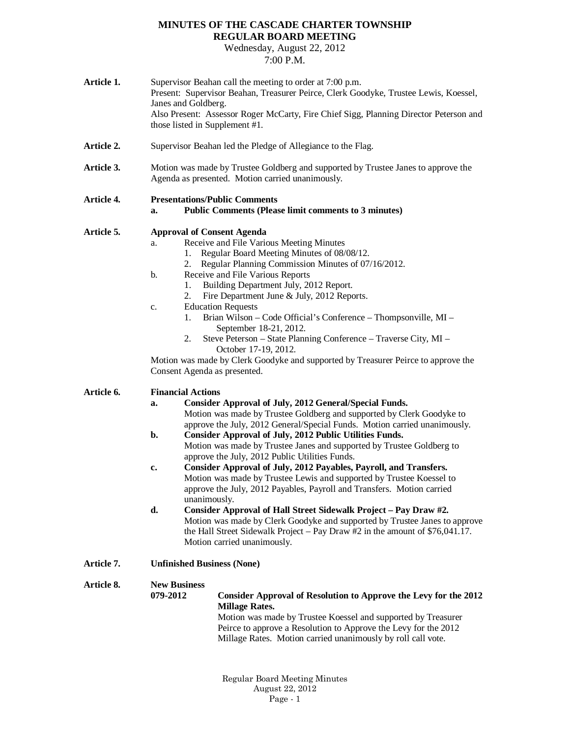## **MINUTES OF THE CASCADE CHARTER TOWNSHIP REGULAR BOARD MEETING**

Wednesday, August 22, 2012 7:00 P.M.

| Article 1. | Supervisor Beahan call the meeting to order at 7:00 p.m.<br>Present: Supervisor Beahan, Treasurer Peirce, Clerk Goodyke, Trustee Lewis, Koessel,<br>Janes and Goldberg.<br>Also Present: Assessor Roger McCarty, Fire Chief Sigg, Planning Director Peterson and<br>those listed in Supplement #1.                                                                                                                                                                                                                                                                                                                                                                                                                                                                                                                                                                                                                                                                             |                                                                                                                                                                                                                                                                                                                                                                                                                                                                                                                                                                                     |  |
|------------|--------------------------------------------------------------------------------------------------------------------------------------------------------------------------------------------------------------------------------------------------------------------------------------------------------------------------------------------------------------------------------------------------------------------------------------------------------------------------------------------------------------------------------------------------------------------------------------------------------------------------------------------------------------------------------------------------------------------------------------------------------------------------------------------------------------------------------------------------------------------------------------------------------------------------------------------------------------------------------|-------------------------------------------------------------------------------------------------------------------------------------------------------------------------------------------------------------------------------------------------------------------------------------------------------------------------------------------------------------------------------------------------------------------------------------------------------------------------------------------------------------------------------------------------------------------------------------|--|
| Article 2. | Supervisor Beahan led the Pledge of Allegiance to the Flag.                                                                                                                                                                                                                                                                                                                                                                                                                                                                                                                                                                                                                                                                                                                                                                                                                                                                                                                    |                                                                                                                                                                                                                                                                                                                                                                                                                                                                                                                                                                                     |  |
| Article 3. | Motion was made by Trustee Goldberg and supported by Trustee Janes to approve the<br>Agenda as presented. Motion carried unanimously.                                                                                                                                                                                                                                                                                                                                                                                                                                                                                                                                                                                                                                                                                                                                                                                                                                          |                                                                                                                                                                                                                                                                                                                                                                                                                                                                                                                                                                                     |  |
| Article 4. | <b>Presentations/Public Comments</b><br><b>Public Comments (Please limit comments to 3 minutes)</b><br>a.                                                                                                                                                                                                                                                                                                                                                                                                                                                                                                                                                                                                                                                                                                                                                                                                                                                                      |                                                                                                                                                                                                                                                                                                                                                                                                                                                                                                                                                                                     |  |
| Article 5. | <b>Approval of Consent Agenda</b><br>a.<br>1.<br>2.<br>b.<br>1.<br>2.<br>c.<br>1.<br>2.<br>Consent Agenda as presented.                                                                                                                                                                                                                                                                                                                                                                                                                                                                                                                                                                                                                                                                                                                                                                                                                                                        | Receive and File Various Meeting Minutes<br>Regular Board Meeting Minutes of 08/08/12.<br>Regular Planning Commission Minutes of 07/16/2012.<br>Receive and File Various Reports<br>Building Department July, 2012 Report.<br>Fire Department June & July, 2012 Reports.<br><b>Education Requests</b><br>Brian Wilson – Code Official's Conference – Thompsonville, MI –<br>September 18-21, 2012.<br>Steve Peterson - State Planning Conference - Traverse City, MI -<br>October 17-19, 2012.<br>Motion was made by Clerk Goodyke and supported by Treasurer Peirce to approve the |  |
| Article 6. | <b>Financial Actions</b><br><b>Consider Approval of July, 2012 General/Special Funds.</b><br>a.<br>Motion was made by Trustee Goldberg and supported by Clerk Goodyke to<br>approve the July, 2012 General/Special Funds. Motion carried unanimously.<br><b>Consider Approval of July, 2012 Public Utilities Funds.</b><br>b.<br>Motion was made by Trustee Janes and supported by Trustee Goldberg to<br>approve the July, 2012 Public Utilities Funds.<br>Consider Approval of July, 2012 Payables, Payroll, and Transfers.<br>c.<br>Motion was made by Trustee Lewis and supported by Trustee Koessel to<br>approve the July, 2012 Payables, Payroll and Transfers. Motion carried<br>unanimously.<br>d.<br>Consider Approval of Hall Street Sidewalk Project - Pay Draw #2.<br>Motion was made by Clerk Goodyke and supported by Trustee Janes to approve<br>the Hall Street Sidewalk Project – Pay Draw $#2$ in the amount of \$76,041.17.<br>Motion carried unanimously. |                                                                                                                                                                                                                                                                                                                                                                                                                                                                                                                                                                                     |  |
| Article 7. | <b>Unfinished Business (None)</b>                                                                                                                                                                                                                                                                                                                                                                                                                                                                                                                                                                                                                                                                                                                                                                                                                                                                                                                                              |                                                                                                                                                                                                                                                                                                                                                                                                                                                                                                                                                                                     |  |
| Article 8. | <b>New Business</b><br>079-2012                                                                                                                                                                                                                                                                                                                                                                                                                                                                                                                                                                                                                                                                                                                                                                                                                                                                                                                                                | Consider Approval of Resolution to Approve the Levy for the 2012<br><b>Millage Rates.</b><br>Motion was made by Trustee Koessel and supported by Treasurer<br>Peirce to approve a Resolution to Approve the Levy for the 2012<br>Millage Rates. Motion carried unanimously by roll call vote.                                                                                                                                                                                                                                                                                       |  |

Regular Board Meeting Minutes August 22, 2012  $Page - 1$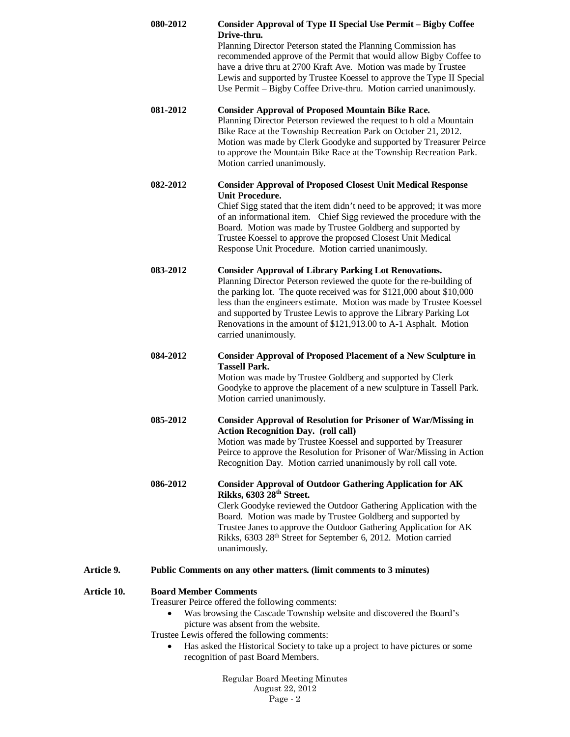|             | 080-2012                                                                                                                                                                                                                                                                                                                                                                            | <b>Consider Approval of Type II Special Use Permit - Bigby Coffee</b><br>Drive-thru.<br>Planning Director Peterson stated the Planning Commission has<br>recommended approve of the Permit that would allow Bigby Coffee to<br>have a drive thru at 2700 Kraft Ave. Motion was made by Trustee<br>Lewis and supported by Trustee Koessel to approve the Type II Special<br>Use Permit - Bigby Coffee Drive-thru. Motion carried unanimously.          |  |
|-------------|-------------------------------------------------------------------------------------------------------------------------------------------------------------------------------------------------------------------------------------------------------------------------------------------------------------------------------------------------------------------------------------|-------------------------------------------------------------------------------------------------------------------------------------------------------------------------------------------------------------------------------------------------------------------------------------------------------------------------------------------------------------------------------------------------------------------------------------------------------|--|
|             | 081-2012                                                                                                                                                                                                                                                                                                                                                                            | <b>Consider Approval of Proposed Mountain Bike Race.</b><br>Planning Director Peterson reviewed the request to h old a Mountain<br>Bike Race at the Township Recreation Park on October 21, 2012.<br>Motion was made by Clerk Goodyke and supported by Treasurer Peirce<br>to approve the Mountain Bike Race at the Township Recreation Park.<br>Motion carried unanimously.                                                                          |  |
|             | 082-2012                                                                                                                                                                                                                                                                                                                                                                            | <b>Consider Approval of Proposed Closest Unit Medical Response</b><br><b>Unit Procedure.</b><br>Chief Sigg stated that the item didn't need to be approved; it was more<br>of an informational item. Chief Sigg reviewed the procedure with the<br>Board. Motion was made by Trustee Goldberg and supported by<br>Trustee Koessel to approve the proposed Closest Unit Medical<br>Response Unit Procedure. Motion carried unanimously.                |  |
|             | 083-2012                                                                                                                                                                                                                                                                                                                                                                            | <b>Consider Approval of Library Parking Lot Renovations.</b><br>Planning Director Peterson reviewed the quote for the re-building of<br>the parking lot. The quote received was for \$121,000 about \$10,000<br>less than the engineers estimate. Motion was made by Trustee Koessel<br>and supported by Trustee Lewis to approve the Library Parking Lot<br>Renovations in the amount of \$121,913.00 to A-1 Asphalt. Motion<br>carried unanimously. |  |
|             | 084-2012                                                                                                                                                                                                                                                                                                                                                                            | <b>Consider Approval of Proposed Placement of a New Sculpture in</b><br><b>Tassell Park.</b><br>Motion was made by Trustee Goldberg and supported by Clerk<br>Goodyke to approve the placement of a new sculpture in Tassell Park.<br>Motion carried unanimously.                                                                                                                                                                                     |  |
|             | 085-2012                                                                                                                                                                                                                                                                                                                                                                            | <b>Consider Approval of Resolution for Prisoner of War/Missing in</b><br><b>Action Recognition Day.</b> (roll call)<br>Motion was made by Trustee Koessel and supported by Treasurer<br>Peirce to approve the Resolution for Prisoner of War/Missing in Action<br>Recognition Day. Motion carried unanimously by roll call vote.                                                                                                                      |  |
|             | 086-2012                                                                                                                                                                                                                                                                                                                                                                            | <b>Consider Approval of Outdoor Gathering Application for AK</b><br>Rikks, 6303 28 <sup>th</sup> Street.<br>Clerk Goodyke reviewed the Outdoor Gathering Application with the<br>Board. Motion was made by Trustee Goldberg and supported by<br>Trustee Janes to approve the Outdoor Gathering Application for AK<br>Rikks, 6303 28th Street for September 6, 2012. Motion carried<br>unanimously.                                                    |  |
| Article 9.  |                                                                                                                                                                                                                                                                                                                                                                                     | Public Comments on any other matters. (limit comments to 3 minutes)                                                                                                                                                                                                                                                                                                                                                                                   |  |
| Article 10. | <b>Board Member Comments</b><br>Treasurer Peirce offered the following comments:<br>Was browsing the Cascade Township website and discovered the Board's<br>٠<br>picture was absent from the website.<br>Trustee Lewis offered the following comments:<br>Has asked the Historical Society to take up a project to have pictures or some<br>٠<br>recognition of past Board Members. |                                                                                                                                                                                                                                                                                                                                                                                                                                                       |  |
|             |                                                                                                                                                                                                                                                                                                                                                                                     | Regular Board Meeting Minutes                                                                                                                                                                                                                                                                                                                                                                                                                         |  |

August 22, 2012 Page - 2